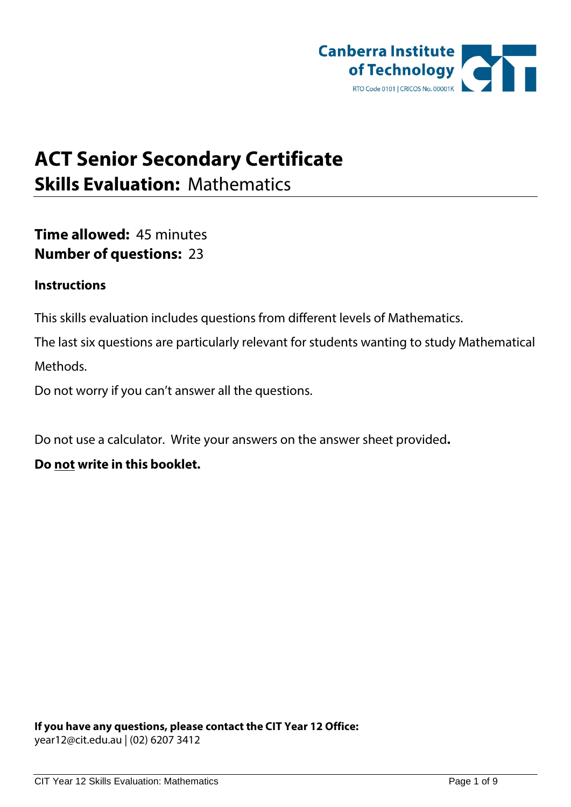

# **ACT Senior Secondary Certificate Skills Evaluation:** Mathematics

**Time allowed:** 45 minutes **Number of questions:** 23

# **Instructions**

This skills evaluation includes questions from different levels of Mathematics.

The last six questions are particularly relevant for students wanting to study Mathematical Methods.

Do not worry if you can't answer all the questions.

Do not use a calculator. Write your answers on the answer sheet provided**.** 

**Do not write in this booklet.**

**If you have any questions, please contact the CIT Year 12 Office:** [year12@cit.edu.au](mailto:year12@cit.edu.au) | (02) 6207 3412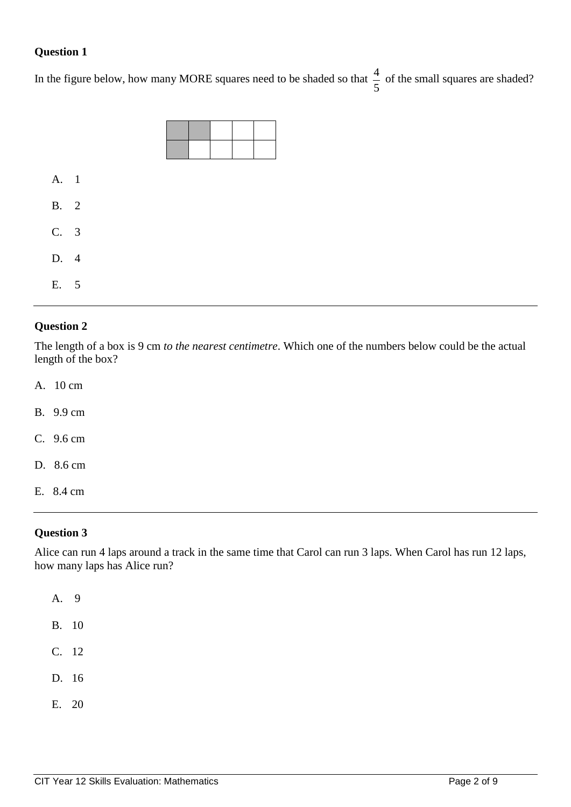In the figure below, how many MORE squares need to be shaded so that  $\frac{4}{5}$  of the small squares are shaded?



A. 1

B. 2 C. 3

D. 4

E. 5

#### **Question 2**

The length of a box is 9 cm *to the nearest centimetre*. Which one of the numbers below could be the actual length of the box?

A. 10 cm

- B. 9.9 cm
- C. 9.6 cm
- D. 8.6 cm
- E. 8.4 cm

## **Question 3**

Alice can run 4 laps around a track in the same time that Carol can run 3 laps. When Carol has run 12 laps, how many laps has Alice run?

| A.    | 9     |
|-------|-------|
| B. 10 |       |
|       | C. 12 |
| D. 16 |       |
|       |       |

E. 20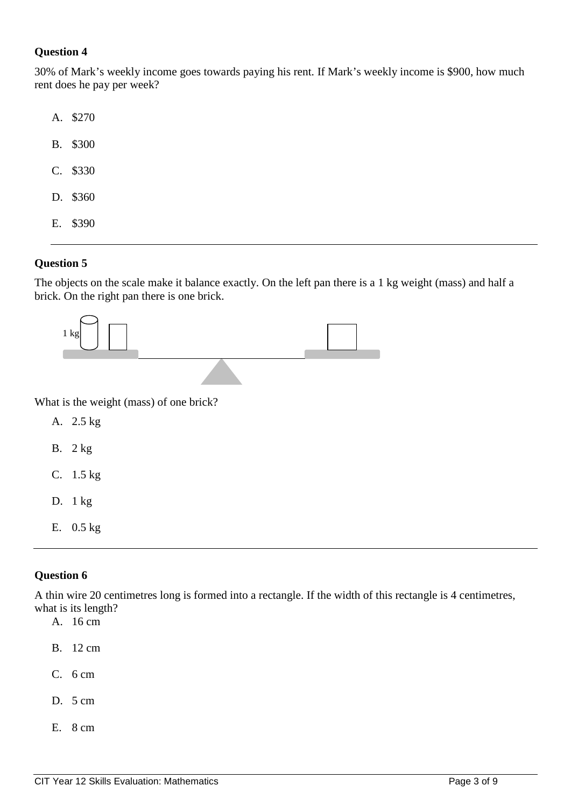30% of Mark's weekly income goes towards paying his rent. If Mark's weekly income is \$900, how much rent does he pay per week?

| A. \$270 |
|----------|
| B. \$300 |
| C. \$330 |
| D. \$360 |
| E. \$390 |

#### **Question 5**

The objects on the scale make it balance exactly. On the left pan there is a 1 kg weight (mass) and half a brick. On the right pan there is one brick.



What is the weight (mass) of one brick?

- A. 2.5 kg
- B. 2 kg
- C. 1.5 kg
- D. 1 kg
- E. 0.5 kg

#### **Question 6**

A thin wire 20 centimetres long is formed into a rectangle. If the width of this rectangle is 4 centimetres, what is its length?

- A. 16 cm
- B. 12 cm
- C. 6 cm
- D. 5 cm
- E. 8 cm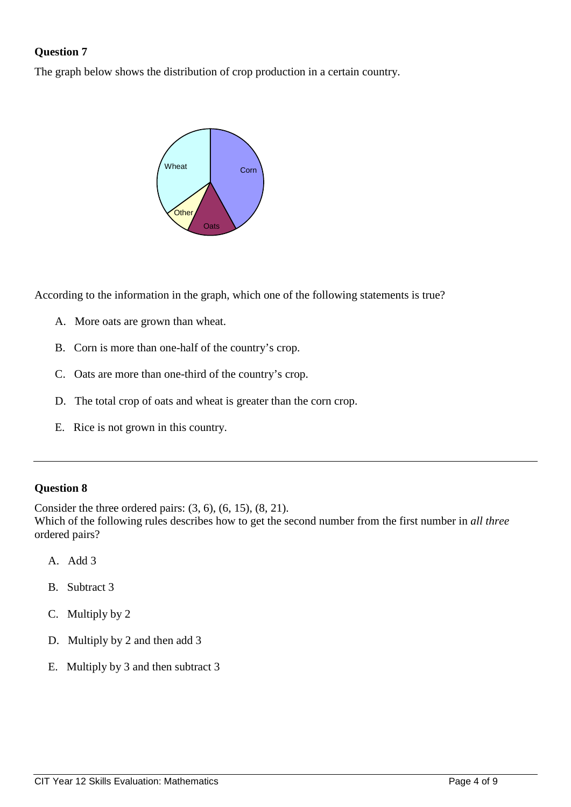The graph below shows the distribution of crop production in a certain country.



According to the information in the graph, which one of the following statements is true?

- A. More oats are grown than wheat.
- B. Corn is more than one-half of the country's crop.
- C. Oats are more than one-third of the country's crop.
- D. The total crop of oats and wheat is greater than the corn crop.
- E. Rice is not grown in this country.

## **Question 8**

Consider the three ordered pairs: (3, 6), (6, 15), (8, 21).

Which of the following rules describes how to get the second number from the first number in *all three* ordered pairs?

- A. Add 3
- B. Subtract 3
- C. Multiply by 2
- D. Multiply by 2 and then add 3
- E. Multiply by 3 and then subtract 3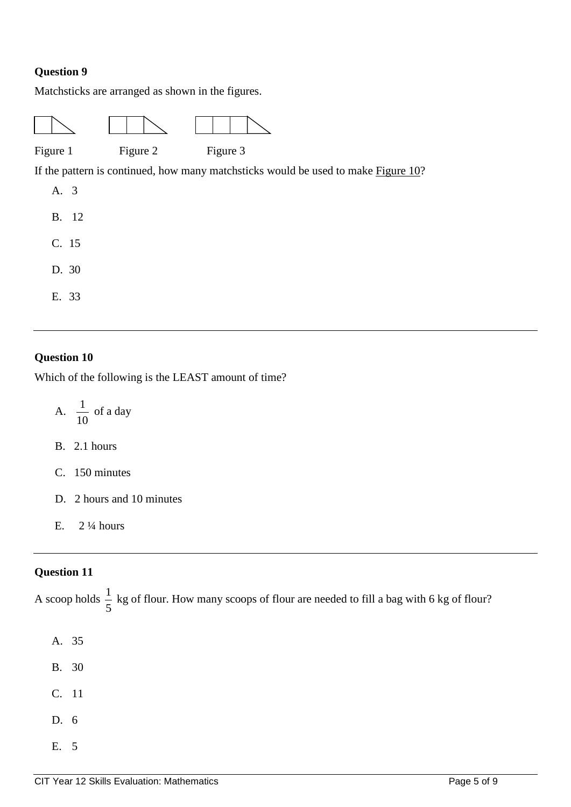Matchsticks are arranged as shown in the figures.



E. 33

#### **Question 10**

Which of the following is the LEAST amount of time?

A. 
$$
\frac{1}{10}
$$
 of a day

- B. 2.1 hours
- C. 150 minutes
- D. 2 hours and 10 minutes
- E.  $2\frac{1}{4}$  hours

#### **Question 11**

A scoop holds  $\frac{1}{5}$  kg of flour. How many scoops of flour are needed to fill a bag with 6 kg of flour?

- A. 35 B. 30 C. 11 D. 6
- E. 5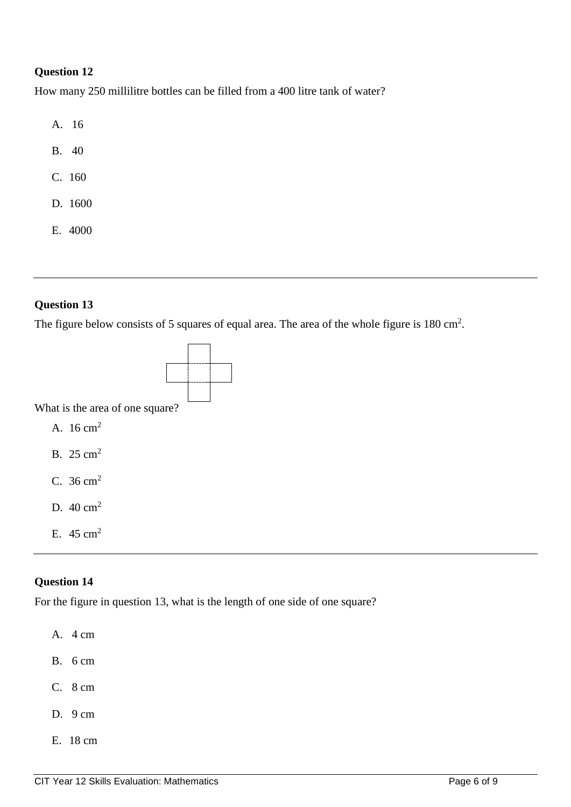How many 250 millilitre bottles can be filled from a 400 litre tank of water?

- A. 16
- B. 40
- C. 160
- D. 1600
- E. 4000

## **Question 13**

The figure below consists of 5 squares of equal area. The area of the whole figure is  $180 \text{ cm}^2$ .



What is the area of one square?

- A.  $16 \text{ cm}^2$
- B.  $25 \text{ cm}^2$
- C.  $36 \text{ cm}^2$
- D.  $40 \text{ cm}^2$
- E.  $45 \text{ cm}^2$

## **Question 14**

For the figure in question 13, what is the length of one side of one square?

- A. 4 cm
- B. 6 cm
- C. 8 cm
- D. 9 cm
- E. 18 cm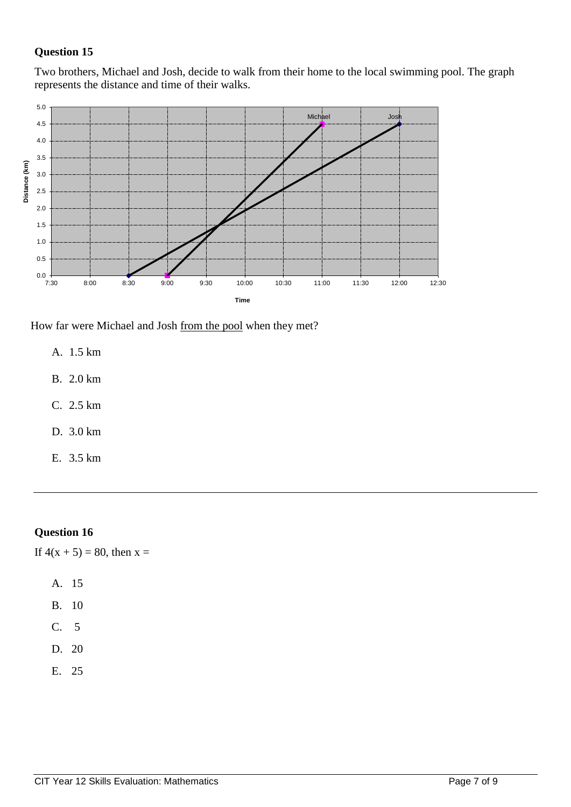Two brothers, Michael and Josh, decide to walk from their home to the local swimming pool. The graph represents the distance and time of their walks.





- A. 1.5 km
- B. 2.0 km
- C. 2.5 km
- D. 3.0 km
- E. 3.5 km

#### **Question 16**

If  $4(x + 5) = 80$ , then  $x =$ 

| ×<br>I |  |
|--------|--|

- B. 10
- C. 5
- D. 20
- E. 25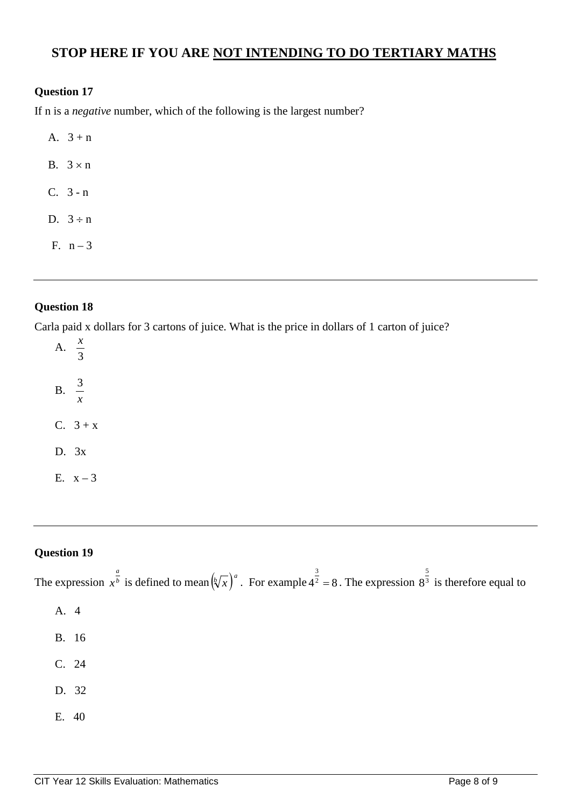# **STOP HERE IF YOU ARE NOT INTENDING TO DO TERTIARY MATHS**

#### **Question 17**

If n is a *negative* number, which of the following is the largest number?

A.  $3 + n$ B.  $3 \times n$ C. 3 - n D.  $3 \div n$ 

F.  $n-3$ 

## **Question 18**

Carla paid x dollars for 3 cartons of juice. What is the price in dollars of 1 carton of juice?

A. 3 *x* B. *x* 3  $C. \quad 3 + x$ D. 3x E.  $x-3$ 

## **Question 19**

The expression  $x^b$  $x^{\frac{a}{b}}$  is defined to mean  $\left(\sqrt[b]{x}\right)^a$ . For example  $4^{\frac{3}{2}} = 8$  $= 8$ . The expression  $8<sup>3</sup>$ 5  $8<sup>3</sup>$  is therefore equal to

- A. 4
- B. 16
- C. 24
- D. 32
- E. 40